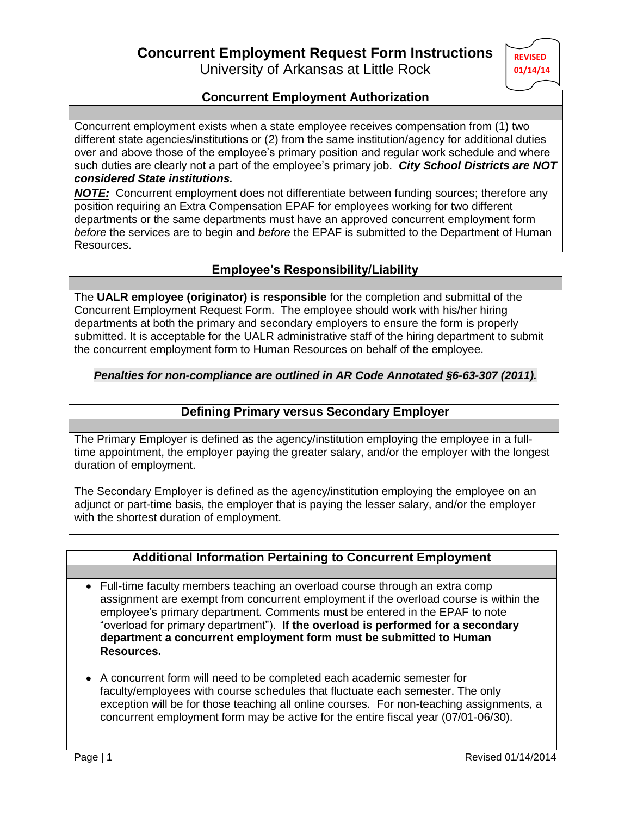University of Arkansas at Little Rock

# **REVISED 01/14/14**

### **Concurrent Employment Authorization**

Concurrent employment exists when a state employee receives compensation from (1) two different state agencies/institutions or (2) from the same institution/agency for additional duties over and above those of the employee's primary position and regular work schedule and where such duties are clearly not a part of the employee's primary job. *City School Districts are NOT considered State institutions.*

*NOTE:* Concurrent employment does not differentiate between funding sources; therefore any position requiring an Extra Compensation EPAF for employees working for two different departments or the same departments must have an approved concurrent employment form *before* the services are to begin and *before* the EPAF is submitted to the Department of Human Resources.

### **Employee's Responsibility/Liability**

The **UALR employee (originator) is responsible** for the completion and submittal of the Concurrent Employment Request Form. The employee should work with his/her hiring departments at both the primary and secondary employers to ensure the form is properly submitted. It is acceptable for the UALR administrative staff of the hiring department to submit the concurrent employment form to Human Resources on behalf of the employee.

### *Penalties for non-compliance are outlined in AR Code Annotated §6-63-307 (2011).*

### **Defining Primary versus Secondary Employer**

The Primary Employer is defined as the agency/institution employing the employee in a fulltime appointment, the employer paying the greater salary, and/or the employer with the longest duration of employment.

The Secondary Employer is defined as the agency/institution employing the employee on an adjunct or part-time basis, the employer that is paying the lesser salary, and/or the employer with the shortest duration of employment.

# **Additional Information Pertaining to Concurrent Employment**

- Full-time faculty members teaching an overload course through an extra comp assignment are exempt from concurrent employment if the overload course is within the employee's primary department. Comments must be entered in the EPAF to note "overload for primary department"). **If the overload is performed for a secondary department a concurrent employment form must be submitted to Human Resources.**
- A concurrent form will need to be completed each academic semester for faculty/employees with course schedules that fluctuate each semester. The only exception will be for those teaching all online courses. For non-teaching assignments, a concurrent employment form may be active for the entire fiscal year (07/01-06/30).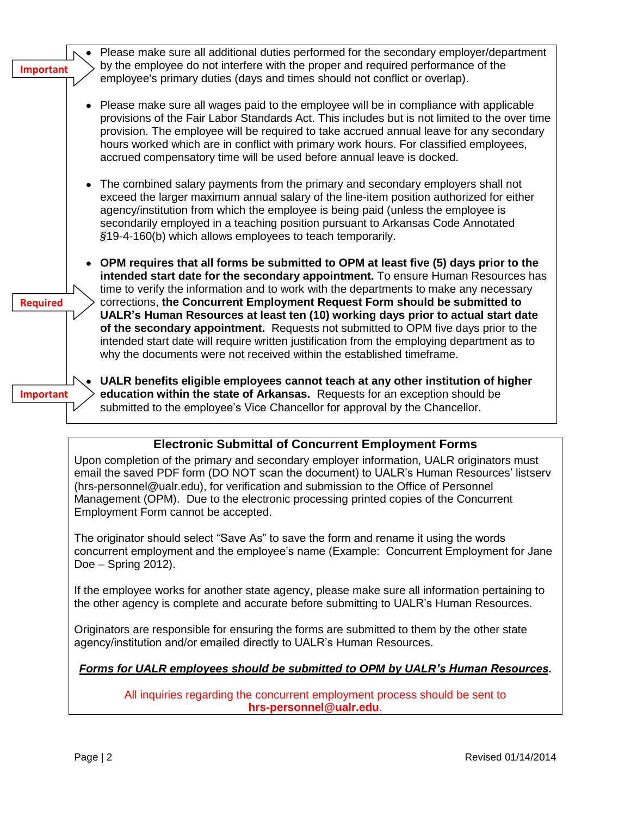| <b>Important</b> | Please make sure all additional duties performed for the secondary employer/department<br>by the employee do not interfere with the proper and required performance of the<br>employee's primary duties (days and times should not conflict or overlap).                                                                                                                                                                                                                                                                                                                                                                                                                                        |
|------------------|-------------------------------------------------------------------------------------------------------------------------------------------------------------------------------------------------------------------------------------------------------------------------------------------------------------------------------------------------------------------------------------------------------------------------------------------------------------------------------------------------------------------------------------------------------------------------------------------------------------------------------------------------------------------------------------------------|
|                  | Please make sure all wages paid to the employee will be in compliance with applicable<br>provisions of the Fair Labor Standards Act. This includes but is not limited to the over time<br>provision. The employee will be required to take accrued annual leave for any secondary<br>hours worked which are in conflict with primary work hours. For classified employees,<br>accrued compensatory time will be used before annual leave is docked.                                                                                                                                                                                                                                             |
|                  | The combined salary payments from the primary and secondary employers shall not<br>exceed the larger maximum annual salary of the line-item position authorized for either<br>agency/institution from which the employee is being paid (unless the employee is<br>secondarily employed in a teaching position pursuant to Arkansas Code Annotated<br>§19-4-160(b) which allows employees to teach temporarily.                                                                                                                                                                                                                                                                                  |
| <b>Required</b>  | OPM requires that all forms be submitted to OPM at least five (5) days prior to the<br>intended start date for the secondary appointment. To ensure Human Resources has<br>time to verify the information and to work with the departments to make any necessary<br>corrections, the Concurrent Employment Request Form should be submitted to<br>UALR's Human Resources at least ten (10) working days prior to actual start date<br>of the secondary appointment. Requests not submitted to OPM five days prior to the<br>intended start date will require written justification from the employing department as to<br>why the documents were not received within the established timeframe. |
| <b>Important</b> | UALR benefits eligible employees cannot teach at any other institution of higher<br>education within the state of Arkansas. Requests for an exception should be<br>submitted to the employee's Vice Chancellor for approval by the Chancellor.                                                                                                                                                                                                                                                                                                                                                                                                                                                  |
|                  |                                                                                                                                                                                                                                                                                                                                                                                                                                                                                                                                                                                                                                                                                                 |

# **Electronic Submittal of Concurrent Employment Forms**

Upon completion of the primary and secondary employer information, UALR originators must email the saved PDF form (DO NOT scan the document) to UALR's Human Resources' listserv [\(hrs-personnel@ualr.edu\)](mailto:hrs-personnel@ualr.edu), for verification and submission to the Office of Personnel Management (OPM). Due to the electronic processing printed copies of the Concurrent Employment Form cannot be accepted.

The originator should select "Save As" to save the form and rename it using the words concurrent employment and the employee's name (Example: Concurrent Employment for Jane Doe – Spring 2012).

If the employee works for another state agency, please make sure all information pertaining to the other agency is complete and accurate before submitting to UALR's Human Resources.

Originators are responsible for ensuring the forms are submitted to them by the other state agency/institution and/or emailed directly to UALR's Human Resources.

# *Forms for UALR employees should be submitted to OPM by UALR's Human Resources***.**

All inquiries regarding the concurrent employment process should be sent to **hrs-personnel@ualr.edu**.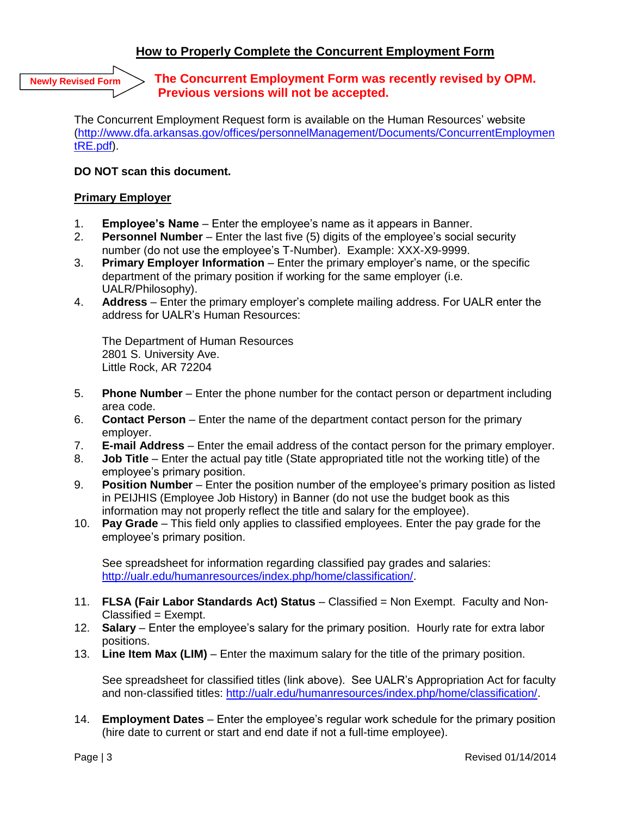### **How to Properly Complete the Concurrent Employment Form**

**Newly Revised Form**

### **The Concurrent Employment Form was recently revised by OPM. Previous versions will not be accepted.**

The Concurrent Employment Request form is available on the Human Resources' website [\(http://www.dfa.arkansas.gov/offices/personnelManagement/Documents/ConcurrentEmploymen](http://www.dfa.arkansas.gov/offices/personnelManagement/Documents/ConcurrentEmploymentRE.pdf) [tRE.pdf\)](http://www.dfa.arkansas.gov/offices/personnelManagement/Documents/ConcurrentEmploymentRE.pdf).

### **DO NOT scan this document.**

#### **Primary Employer**

- 1. **Employee's Name** Enter the employee's name as it appears in Banner.
- 2. **Personnel Number** Enter the last five (5) digits of the employee's social security number (do not use the employee's T-Number). Example: XXX-X9-9999.
- 3. **Primary Employer Information** Enter the primary employer's name, or the specific department of the primary position if working for the same employer (i.e. UALR/Philosophy).
- 4. **Address** Enter the primary employer's complete mailing address. For UALR enter the address for UALR's Human Resources:

The Department of Human Resources 2801 S. University Ave. Little Rock, AR 72204

- 5. **Phone Number** Enter the phone number for the contact person or department including area code.
- 6. **Contact Person** Enter the name of the department contact person for the primary employer.
- 7. **E-mail Address** Enter the email address of the contact person for the primary employer.
- 8. **Job Title** Enter the actual pay title (State appropriated title not the working title) of the employee's primary position.
- 9. **Position Number** Enter the position number of the employee's primary position as listed in PEIJHIS (Employee Job History) in Banner (do not use the budget book as this information may not properly reflect the title and salary for the employee).
- 10. **Pay Grade** This field only applies to classified employees. Enter the pay grade for the employee's primary position.

See spreadsheet for information regarding classified pay grades and salaries: [http://ualr.edu/humanresources/index.php/home/classification/.](http://ualr.edu/humanresources/index.php/home/classification/)

- 11. **FLSA (Fair Labor Standards Act) Status** Classified = Non Exempt. Faculty and Non-Classified = Exempt.
- 12. **Salary**  Enter the employee's salary for the primary position. Hourly rate for extra labor positions.
- 13. **Line Item Max (LIM)** Enter the maximum salary for the title of the primary position.

See spreadsheet for classified titles (link above). See UALR's Appropriation Act for faculty and non-classified titles: [http://ualr.edu/humanresources/index.php/home/classification/.](http://ualr.edu/humanresources/index.php/home/classification/)

14. **Employment Dates** – Enter the employee's regular work schedule for the primary position (hire date to current or start and end date if not a full-time employee).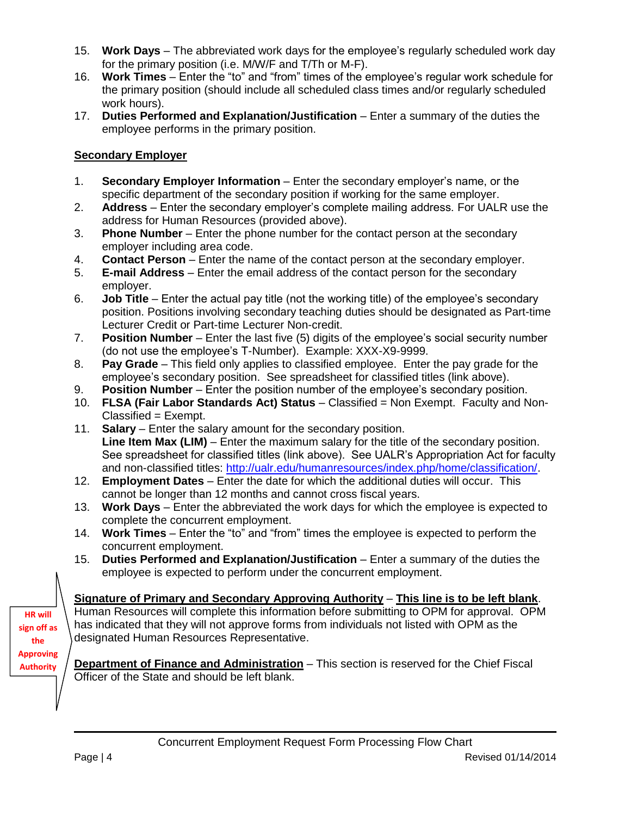- 15. **Work Days** The abbreviated work days for the employee's regularly scheduled work day for the primary position (i.e. M/W/F and T/Th or M-F).
- 16. **Work Times** Enter the "to" and "from" times of the employee's regular work schedule for the primary position (should include all scheduled class times and/or regularly scheduled work hours).
- 17. **Duties Performed and Explanation/Justification** Enter a summary of the duties the employee performs in the primary position.

### **Secondary Employer**

- 1. **Secondary Employer Information** Enter the secondary employer's name, or the specific department of the secondary position if working for the same employer.
- 2. **Address**  Enter the secondary employer's complete mailing address. For UALR use the address for Human Resources (provided above).
- 3. **Phone Number** Enter the phone number for the contact person at the secondary employer including area code.
- 4. **Contact Person** Enter the name of the contact person at the secondary employer.
- 5. **E-mail Address** Enter the email address of the contact person for the secondary employer.
- 6. **Job Title** Enter the actual pay title (not the working title) of the employee's secondary position. Positions involving secondary teaching duties should be designated as Part-time Lecturer Credit or Part-time Lecturer Non-credit.
- 7. **Position Number** Enter the last five (5) digits of the employee's social security number (do not use the employee's T-Number). Example: XXX-X9-9999.
- 8. **Pay Grade** This field only applies to classified employee. Enter the pay grade for the employee's secondary position. See spreadsheet for classified titles (link above).
- 9. **Position Number** Enter the position number of the employee's secondary position.
- 10. **FLSA (Fair Labor Standards Act) Status** Classified = Non Exempt. Faculty and Non-Classified = Exempt.
- 11. **Salary** Enter the salary amount for the secondary position. **Line Item Max (LIM)** – Enter the maximum salary for the title of the secondary position. See spreadsheet for classified titles (link above). See UALR's Appropriation Act for faculty and non-classified titles: [http://ualr.edu/humanresources/index.php/home/classification/.](http://ualr.edu/humanresources/index.php/home/classification/)
- 12. **Employment Dates** Enter the date for which the additional duties will occur. This cannot be longer than 12 months and cannot cross fiscal years.
- 13. **Work Days** Enter the abbreviated the work days for which the employee is expected to complete the concurrent employment.
- 14. **Work Times** Enter the "to" and "from" times the employee is expected to perform the concurrent employment.
- 15. **Duties Performed and Explanation/Justification** Enter a summary of the duties the employee is expected to perform under the concurrent employment.

# **Signature of Primary and Secondary Approving Authority** – **This line is to be left blank**.

Human Resources will complete this information before submitting to OPM for approval. OPM has indicated that they will not approve forms from individuals not listed with OPM as the designated Human Resources Representative.

**Department of Finance and Administration** – This section is reserved for the Chief Fiscal Officer of the State and should be left blank.